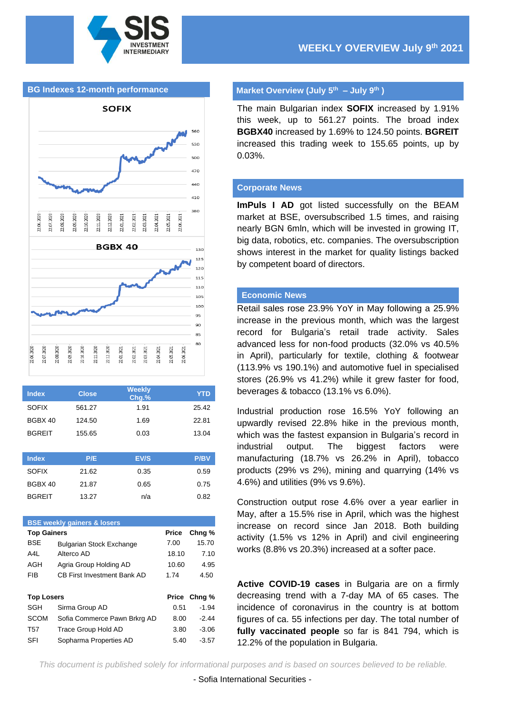

#### **BG Indexes 12-month performance**



| <b>Index</b>  | <b>Close</b> | <b>Weekly</b><br>Chg.% | <b>YTD</b>  |
|---------------|--------------|------------------------|-------------|
| <b>SOFIX</b>  | 561.27       | 1.91                   | 25.42       |
| BGBX 40       | 124.50       | 1.69                   | 22.81       |
| <b>BGREIT</b> | 155.65       | 0.03                   | 13.04       |
|               |              |                        |             |
| <b>Index</b>  | P/E          | EV/S                   | <b>P/BV</b> |
| <b>SOFIX</b>  | 21.62        | 0.35                   | 0.59        |
| BGBX 40       | 21.87        | 0.65                   | 0.75        |
| <b>BGREIT</b> | 13.27        | n/a                    | 0.82        |

| <b>BSE weekly gainers &amp; losers</b> |                                    |       |                   |  |  |
|----------------------------------------|------------------------------------|-------|-------------------|--|--|
| <b>Top Gainers</b>                     |                                    | Price | Chng <sub>%</sub> |  |  |
| <b>BSE</b>                             | <b>Bulgarian Stock Exchange</b>    | 7.00  | 15.70             |  |  |
| A4L                                    | Alterco AD                         | 18.10 | 7.10              |  |  |
| AGH                                    | Agria Group Holding AD             | 10.60 | 4.95              |  |  |
| FIB                                    | <b>CB First Investment Bank AD</b> | 1.74  | 4.50              |  |  |
|                                        |                                    |       |                   |  |  |
| <b>Top Losers</b>                      |                                    |       | Price Chng %      |  |  |
| SGH                                    | Sirma Group AD                     | 0.51  | $-1.94$           |  |  |
| <b>SCOM</b>                            | Sofia Commerce Pawn Brkrg AD       | 8.00  | $-2.44$           |  |  |
| T57                                    | Trace Group Hold AD                | 3.80  | $-3.06$           |  |  |
| SFI                                    | Sopharma Properties AD             | 5.40  | $-3.57$           |  |  |
|                                        |                                    |       |                   |  |  |

#### **Market Overview (July 5 th – July 9 th )**

The main Bulgarian index **SOFIX** increased by 1.91% this week, up to 561.27 points. The broad index **BGBX40** increased by 1.69% to 124.50 points. **BGREIT** increased this trading week to 155.65 points, up by 0.03%.

#### **Corporate News**

**ImPuls I AD** got listed successfully on the BEAM market at BSE, oversubscribed 1.5 times, and raising nearly BGN 6mln, which will be invested in growing IT, big data, robotics, etc. companies. The oversubscription shows interest in the market for quality listings backed by competent board of directors.

### **Economic News**

Retail sales rose 23.9% YoY in May following a 25.9% increase in the previous month, which was the largest record for Bulgaria's retail trade activity. Sales advanced less for non-food products (32.0% vs 40.5% in April), particularly for textile, clothing & footwear (113.9% vs 190.1%) and automotive fuel in specialised stores (26.9% vs 41.2%) while it grew faster for food, beverages & tobacco (13.1% vs 6.0%).

Industrial production rose 16.5% YoY following an upwardly revised 22.8% hike in the previous month, which was the fastest expansion in Bulgaria's record in industrial output. The biggest factors were manufacturing (18.7% vs 26.2% in April), tobacco products (29% vs 2%), mining and quarrying (14% vs 4.6%) and utilities (9% vs 9.6%).

Construction output rose 4.6% over a year earlier in May, after a 15.5% rise in April, which was the highest increase on record since Jan 2018. Both building activity (1.5% vs 12% in April) and civil engineering works (8.8% vs 20.3%) increased at a softer pace.

**Active COVID-19 cases** in Bulgaria are on a firmly decreasing trend with a 7-day MA of 65 cases. The incidence of coronavirus in the country is at bottom figures of ca. 55 infections per day. The total number of **fully vaccinated people** so far is 841 794, which is 12.2% of the population in Bulgaria.

*This document is published solely for informational purposes and is based on sources believed to be reliable.*